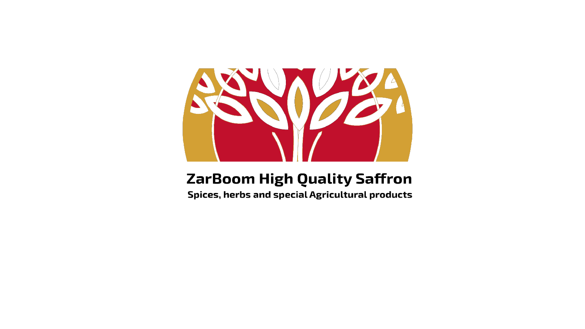

## **ZarBoom High Quality Saffron**

Spices, herbs and special Agricultural products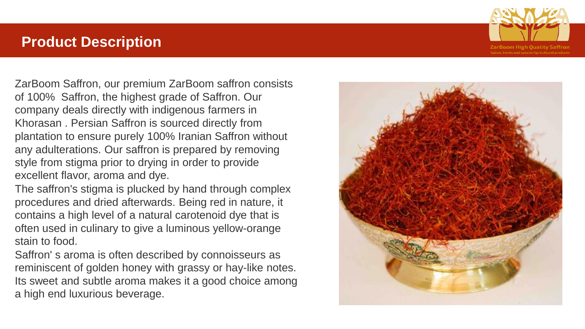#### **Product Description**

ZarBoom Saffron, our premium ZarBoom saffron consists of 100% Saffron, the highest grade of Saffron. Our company deals directly with indigenous farmers in Khorasan . Persian Saffron is sourced directly from plantation to ensure purely 100% Iranian Saffron without any adulterations. Our saffron is prepared by removing style from stigma prior to drying in order to provide excellent flavor, aroma and dye.

The saffron's stigma is plucked by hand through complex procedures and dried afterwards. Being red in nature, it contains a high level of a natural carotenoid dye that is often used in culinary to give a luminous yellow-orange stain to food.

Saffron' s aroma is often described by connoisseurs as reminiscent of golden honey with grassy or hay-like notes. Its sweet and subtle aroma makes it a good choice among a high end luxurious beverage.



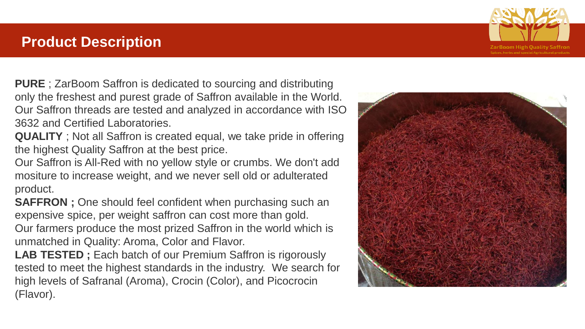### **Product Description**

**PURE** ; ZarBoom Saffron is dedicated to sourcing and distributing only the freshest and purest grade of Saffron available in the World. Our Saffron threads are tested and analyzed in accordance with ISO 3632 and Certified Laboratories.

**QUALITY** ; Not all Saffron is created equal, we take pride in offering the highest Quality Saffron at the best price.

Our Saffron is All-Red with no yellow style or crumbs. We don't add mositure to increase weight, and we never sell old or adulterated product.

**SAFFRON**; One should feel confident when purchasing such an expensive spice, per weight saffron can cost more than gold.

Our farmers produce the most prized Saffron in the world which is unmatched in Quality: Aroma, Color and Flavor.

**LAB TESTED ;** Each batch of our Premium Saffron is rigorously tested to meet the highest standards in the industry. We search for high levels of Safranal (Aroma), Crocin (Color), and Picocrocin (Flavor).



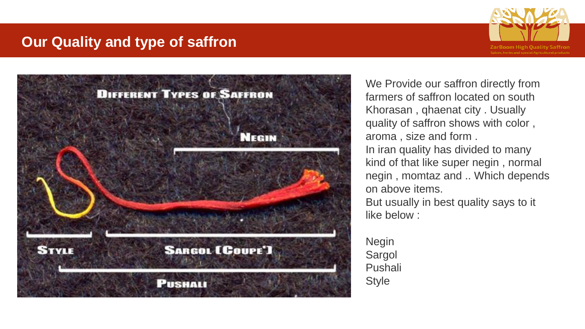### **Our Quality and type of saffron**





We Provide our saffron directly from farmers of saffron located on south Khorasan , qhaenat city . Usually quality of saffron shows with color , aroma , size and form . In iran quality has divided to many kind of that like super negin , normal negin , momtaz and .. Which depends on above items. But usually in best quality says to it

like below :

Negin Sargol Pushali Style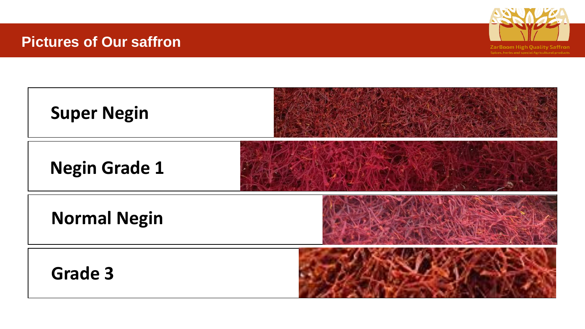### **Pictures of Our saffron**



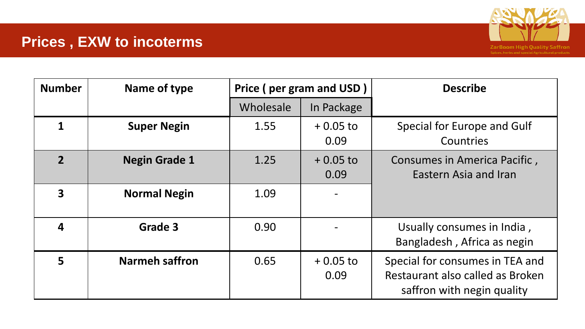# **Prices , EXW to incoterms**



| <b>Number</b>  | Name of type          | Price (per gram and USD) |                    | <b>Describe</b>                                                                                   |
|----------------|-----------------------|--------------------------|--------------------|---------------------------------------------------------------------------------------------------|
|                |                       | Wholesale                | In Package         |                                                                                                   |
|                | <b>Super Negin</b>    | 1.55                     | $+0.05$ to<br>0.09 | Special for Europe and Gulf<br>Countries                                                          |
| $\overline{2}$ | <b>Negin Grade 1</b>  | 1.25                     | $+0.05$ to<br>0.09 | Consumes in America Pacific,<br>Eastern Asia and Iran                                             |
| 3              | <b>Normal Negin</b>   | 1.09                     |                    |                                                                                                   |
| 4              | <b>Grade 3</b>        | 0.90                     |                    | Usually consumes in India,<br>Bangladesh, Africa as negin                                         |
| 5              | <b>Narmeh saffron</b> | 0.65                     | $+0.05$ to<br>0.09 | Special for consumes in TEA and<br>Restaurant also called as Broken<br>saffron with negin quality |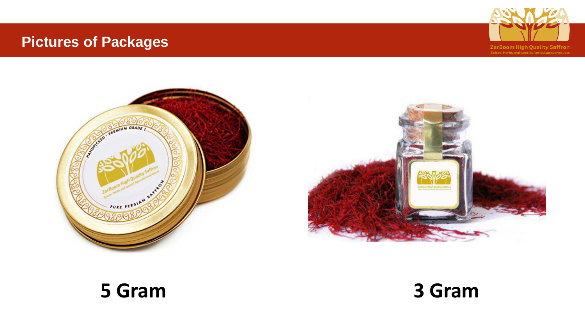# **Pictures of Packages**







# **5 Gram 3 Gram**